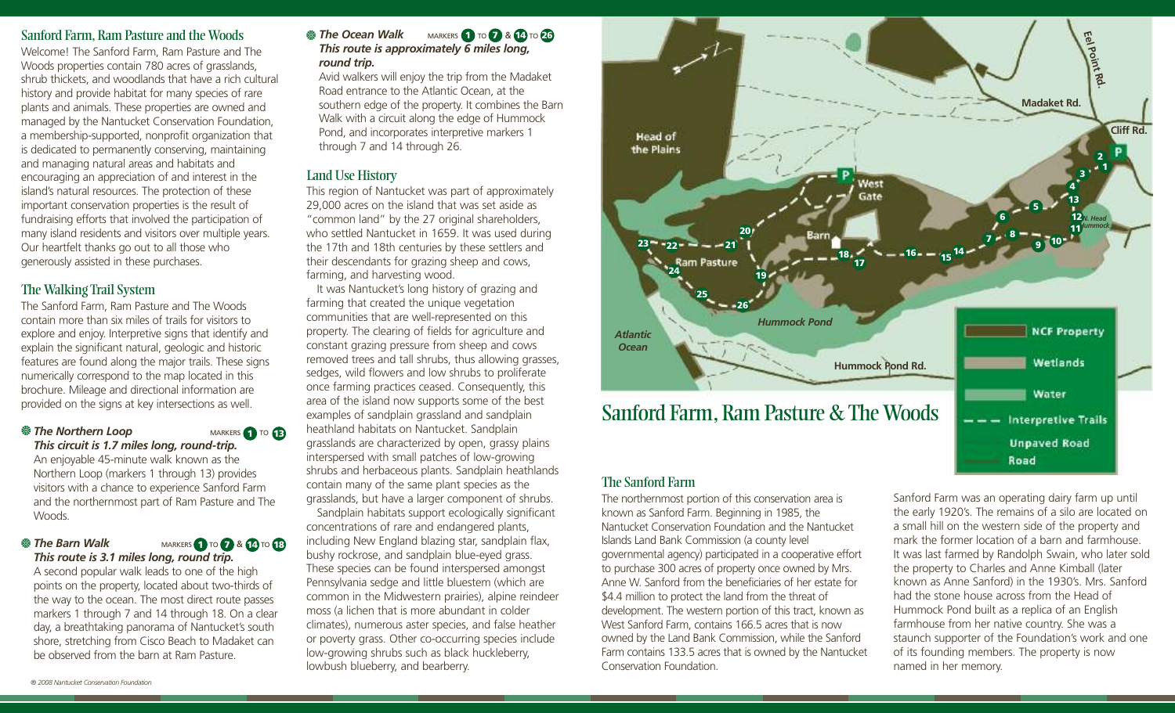# Sanford Farm, Ram Pasture and the Woods

Welcome! The Sanford Farm, Ram Pasture and The Woods properties contain 780 acres of grasslands, shrub thickets, and woodlands that have a rich cultural history and provide habitat for many species of rare plants and animals. These properties are owned and managed by the Nantucket Conservation Foundation, a membership-supported, nonprofit organization that is dedicated to permanently conserving, maintaining and managing natural areas and habitats and encouraging an appreciation of and interest in the island's natural resources. The protection of these important conservation properties is the result of fundraising efforts that involved the participation of many island residents and visitors over multiple years. Our heartfelt thanks go out to all those who generously assisted in these purchases.

# The Walking Trail System

The Sanford Farm, Ram Pasture and The Woods contain more than six miles of trails for visitors to explore and enjoy. Interpretive signs that identify and explain the significant natural, geologic and historic features are found along the major trails. These signs numerically correspond to the map located in this brochure. Mileage and directional information are provided on the signs at key intersections as well.

*We The Northern Loop* MARKERS TO TO *This circuit is 1.7 miles long, round-trip.* **143 13 143 143** 

An enjoyable 45-minute walk known as the Northern Loop (markers 1 through 13) provides visitors with a chance to experience Sanford Farm and the northernmost part of Ram Pasture and The Woods.

### *This route is 3.1 miles long, round trip.* ※ The Barn Walk

*The Barn Walk* **MARKERS 1 TO 7 & 14 TO 18** 

A second popular walk leads to one of the high points on the property, located about two-thirds of the way to the ocean. The most direct route passes markers 1 through 7 and 14 through 18. On a clear day, a breathtaking panorama of Nantucket's south shore, stretching from Cisco Beach to Madaket can be observed from the barn at Ram Pasture.

#### *The Ocean Walk* **MARKERS 1 TO 7 & 14 TO 26** *This route is approximately 6 miles long, round trip.* **<sup>※</sup> The Ocean Walk**

Avid walkers will enjoy the trip from the Madaket Road entrance to the Atlantic Ocean, at the southern edge of the property. It combines the Barn Walk with a circuit along the edge of Hummock Pond, and incorporates interpretive markers 1 through 7 and 14 through 26.

# Land Use History

This region of Nantucket was part of approximately 29,000 acres on the island that was set aside as "common land" by the 27 original shareholders, who settled Nantucket in 1659. It was used during the 17th and 18th centuries by these settlers and their descendants for grazing sheep and cows, farming, and harvesting wood.

It was Nantucket's long history of grazing and farming that created the unique vegetation communities that are well-represented on this property. The clearing of fields for agriculture and constant grazing pressure from sheep and cows removed trees and tall shrubs, thus allowing grasses, sedges, wild flowers and low shrubs to proliferate once farming practices ceased. Consequently, this area of the island now supports some of the best examples of sandplain grassland and sandplain heathland habitats on Nantucket. Sandplain grasslands are characterized by open, grassy plains interspersed with small patches of low-growing shrubs and herbaceous plants. Sandplain heathlands contain many of the same plant species as the grasslands, but have a larger component of shrubs. Sandplain habitats support ecologically significant concentrations of rare and endangered plants, including New England blazing star, sandplain flax, bushy rockrose, and sandplain blue-eyed grass. These species can be found interspersed amongst Pennsylvania sedge and little bluestem (which are common in the Midwestern prairies), alpine reindeer moss (a lichen that is more abundant in colder climates), numerous aster species, and false heather or poverty grass. Other co-occurring species include low-growing shrubs such as black huckleberry, lowbush blueberry, and bearberry.



# The Sanford Farm

The northernmost portion of this conservation area is known as Sanford Farm. Beginning in 1985, the Nantucket Conservation Foundation and the Nantucket Islands Land Bank Commission (a county level governmental agency) participated in a cooperative effort to purchase 300 acres of property once owned by Mrs. Anne W. Sanford from the beneficiaries of her estate for \$4.4 million to protect the land from the threat of development. The western portion of this tract, known as West Sanford Farm, contains 166.5 acres that is now owned by the Land Bank Commission, while the Sanford Farm contains 133.5 acres that is owned by the Nantucket Conservation Foundation.

Sanford Farm was an operating dairy farm up until the early 1920's. The remains of a silo are located on a small hill on the western side of the property and mark the former location of a barn and farmhouse. It was last farmed by Randolph Swain, who later sold the property to Charles and Anne Kimball (later known as Anne Sanford) in the 1930's. Mrs. Sanford had the stone house across from the Head of Hummock Pond built as a replica of an English farmhouse from her native country. She was a staunch supporter of the Foundation's work and one of its founding members. The property is now named in her memory.